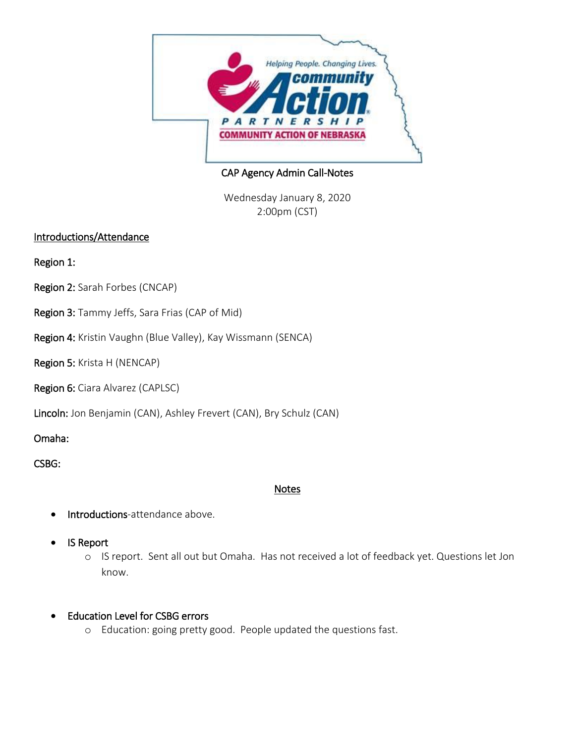

CAP Agency Admin Call-Notes

Wednesday January 8, 2020 2:00pm (CST)

## Introductions/Attendance

Region 1:

- Region 2: Sarah Forbes (CNCAP)
- Region 3: Tammy Jeffs, Sara Frias (CAP of Mid)
- Region 4: Kristin Vaughn (Blue Valley), Kay Wissmann (SENCA)

Region 5: Krista H (NENCAP)

Region 6: Ciara Alvarez (CAPLSC)

Lincoln: Jon Benjamin (CAN), Ashley Frevert (CAN), Bry Schulz (CAN)

Omaha:

CSBG:

## Notes

- Introductions-attendance above.
- IS Report
	- o IS report. Sent all out but Omaha. Has not received a lot of feedback yet. Questions let Jon know.
- Education Level for CSBG errors
	- o Education: going pretty good. People updated the questions fast.